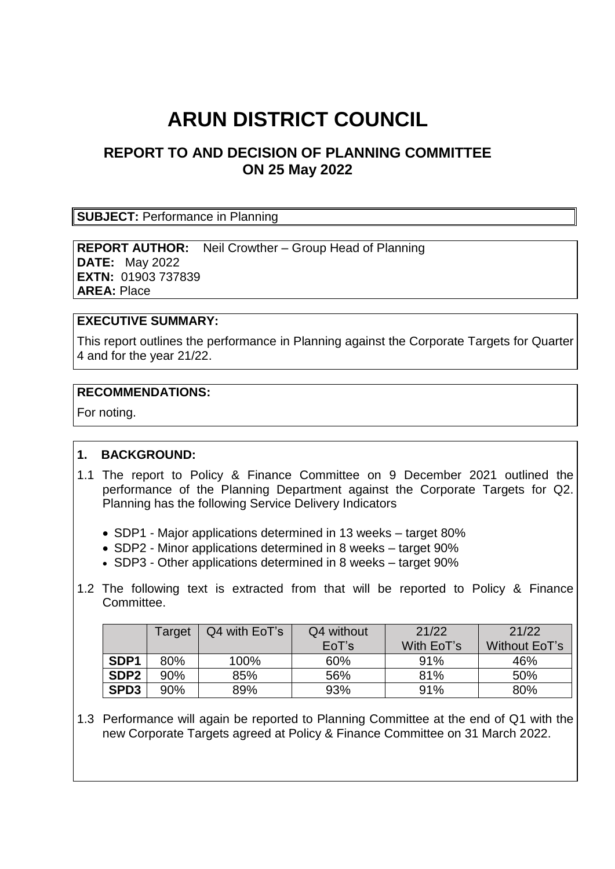# **ARUN DISTRICT COUNCIL**

## **REPORT TO AND DECISION OF PLANNING COMMITTEE ON 25 May 2022**

#### **SUBJECT:** Performance in Planning

**REPORT AUTHOR:** Neil Crowther – Group Head of Planning **DATE:** May 2022 **EXTN:** 01903 737839 **AREA:** Place

### **EXECUTIVE SUMMARY:**

This report outlines the performance in Planning against the Corporate Targets for Quarter 4 and for the year 21/22.

#### **RECOMMENDATIONS:**

For noting.

## **1. BACKGROUND:**

- 1.1 The report to Policy & Finance Committee on 9 December 2021 outlined the performance of the Planning Department against the Corporate Targets for Q2. Planning has the following Service Delivery Indicators
	- SDP1 Major applications determined in 13 weeks target 80%
	- SDP2 Minor applications determined in 8 weeks target 90%
	- SDP3 Other applications determined in 8 weeks target 90%
- 1.2 The following text is extracted from that will be reported to Policy & Finance Committee.

|                  | Target | Q4 with EoT's | Q4 without<br>EoT's | 21/22<br>With EoT's | 21/22<br>Without EoT's |
|------------------|--------|---------------|---------------------|---------------------|------------------------|
| SDP <sub>1</sub> | 80%    | 100%          | 60%                 | 91%                 | 46%                    |
| SDP <sub>2</sub> | 90%    | 85%           | 56%                 | 81%                 | 50%                    |
| SPD <sub>3</sub> | 90%    | 89%           | 93%                 | 91%                 | 80%                    |

1.3 Performance will again be reported to Planning Committee at the end of Q1 with the new Corporate Targets agreed at Policy & Finance Committee on 31 March 2022.